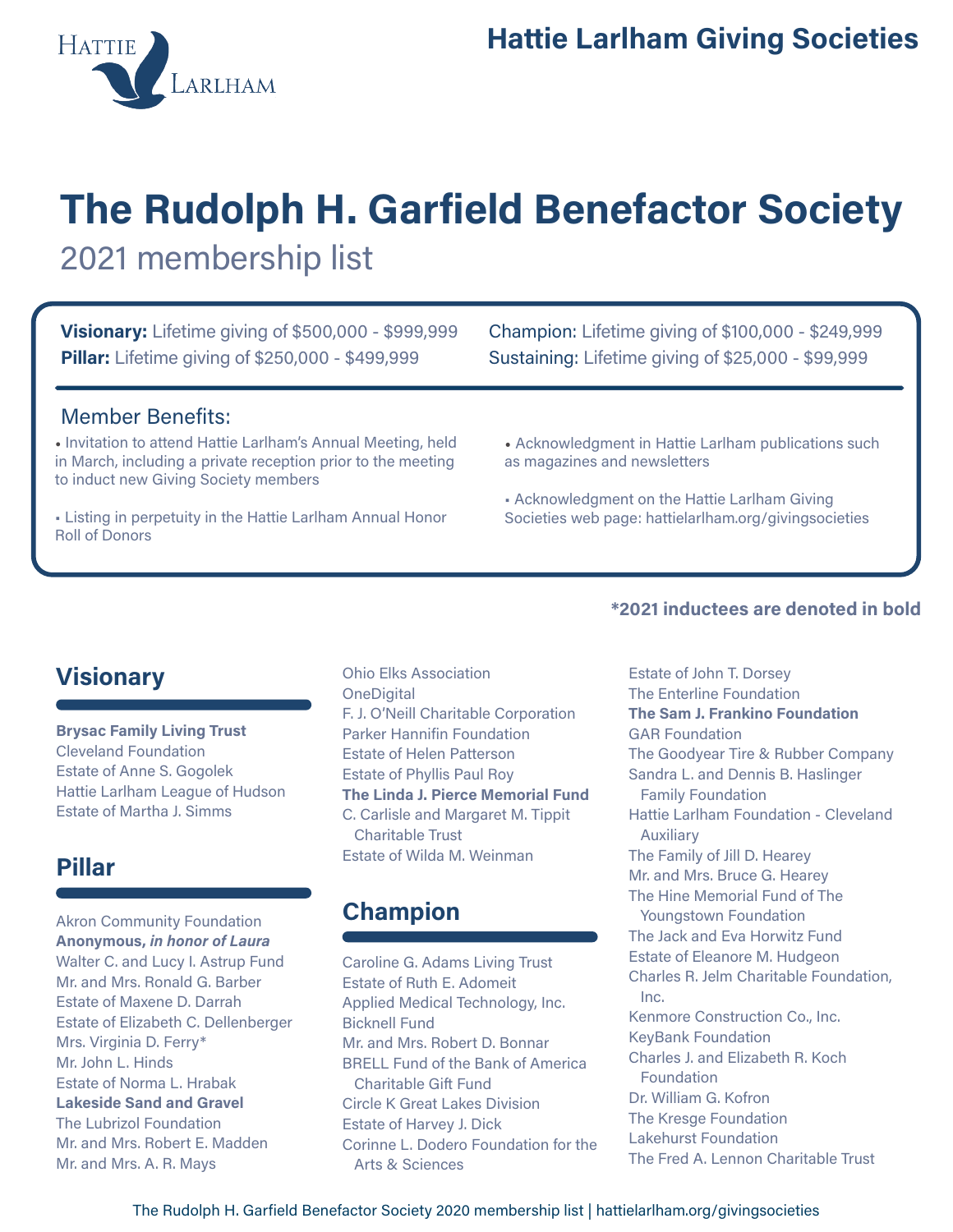# The Rudolph H. Garfield Benefactor Society 2021 membership list

Visionary: Lifetime giving of \$500,000 - \$999,999 **Pillar:** Lifetime giving of \$250,000 - \$499,999

Champion: Lifetime giving of \$100,000 - \$249,999 Sustaining: Lifetime giving of \$25,000 - \$99,999

#### Member Benefits:

• Invitation to attend Hattie Larlham's Annual Meeting, held in March, including a private reception prior to the meeting to induct new Giving Society members

• Listing in perpetuity in the Hattie Larlham Annual Honor Roll of Donors

• Acknowledgment in Hattie Larlham publications such as magazines and newsletters

• Acknowledgment on the Hattie Larlham Giving Societies web page: hattielarlham.org/givingsocieties

## **Visionary**

Brysac Family Living Trust Cleveland Foundation Estate of Anne S. Gogolek Hattie Larlham League of Hudson Estate of Martha J. Simms

## Pillar

Akron Community Foundation Anonymous, in honor of Laura Walter C. and Lucy I. Astrup Fund Mr. and Mrs. Ronald G. Barber Estate of Maxene D. Darrah Estate of Elizabeth C. Dellenberger Mrs. Virginia D. Ferry\* Mr. John L. Hinds Estate of Norma L. Hrabak Lakeside Sand and Gravel The Lubrizol Foundation Mr. and Mrs. Robert E. Madden Mr. and Mrs. A. R. Mays

Ohio Elks Association **OneDigital** F. J. O'Neill Charitable Corporation Parker Hannifin Foundation Estate of Helen Patterson Estate of Phyllis Paul Roy The Linda J. Pierce Memorial Fund C. Carlisle and Margaret M. Tippit Charitable Trust Estate of Wilda M. Weinman

# Champion

Caroline G. Adams Living Trust Estate of Ruth E. Adomeit Applied Medical Technology, Inc. Bicknell Fund Mr. and Mrs. Robert D. Bonnar BRELL Fund of the Bank of America Charitable Gift Fund Circle K Great Lakes Division Estate of Harvey J. Dick Corinne L. Dodero Foundation for the Arts & Sciences

#### \*2021 inductees are denoted in bold

Estate of John T. Dorsey The Enterline Foundation The Sam J. Frankino Foundation GAR Foundation The Goodyear Tire & Rubber Company Sandra L. and Dennis B. Haslinger Family Foundation Hattie Larlham Foundation - Cleveland Auxiliary The Family of Jill D. Hearey Mr. and Mrs. Bruce G. Hearey The Hine Memorial Fund of The Youngstown Foundation The Jack and Eva Horwitz Fund Estate of Eleanore M. Hudgeon Charles R. Jelm Charitable Foundation, Inc. Kenmore Construction Co., Inc. KeyBank Foundation Charles J. and Elizabeth R. Koch Foundation Dr. William G. Kofron The Kresge Foundation Lakehurst Foundation The Fred A. Lennon Charitable Trust

The Rudolph H. Garfield Benefactor Society 2020 membership list | hattielarlham.org/givingsocieties

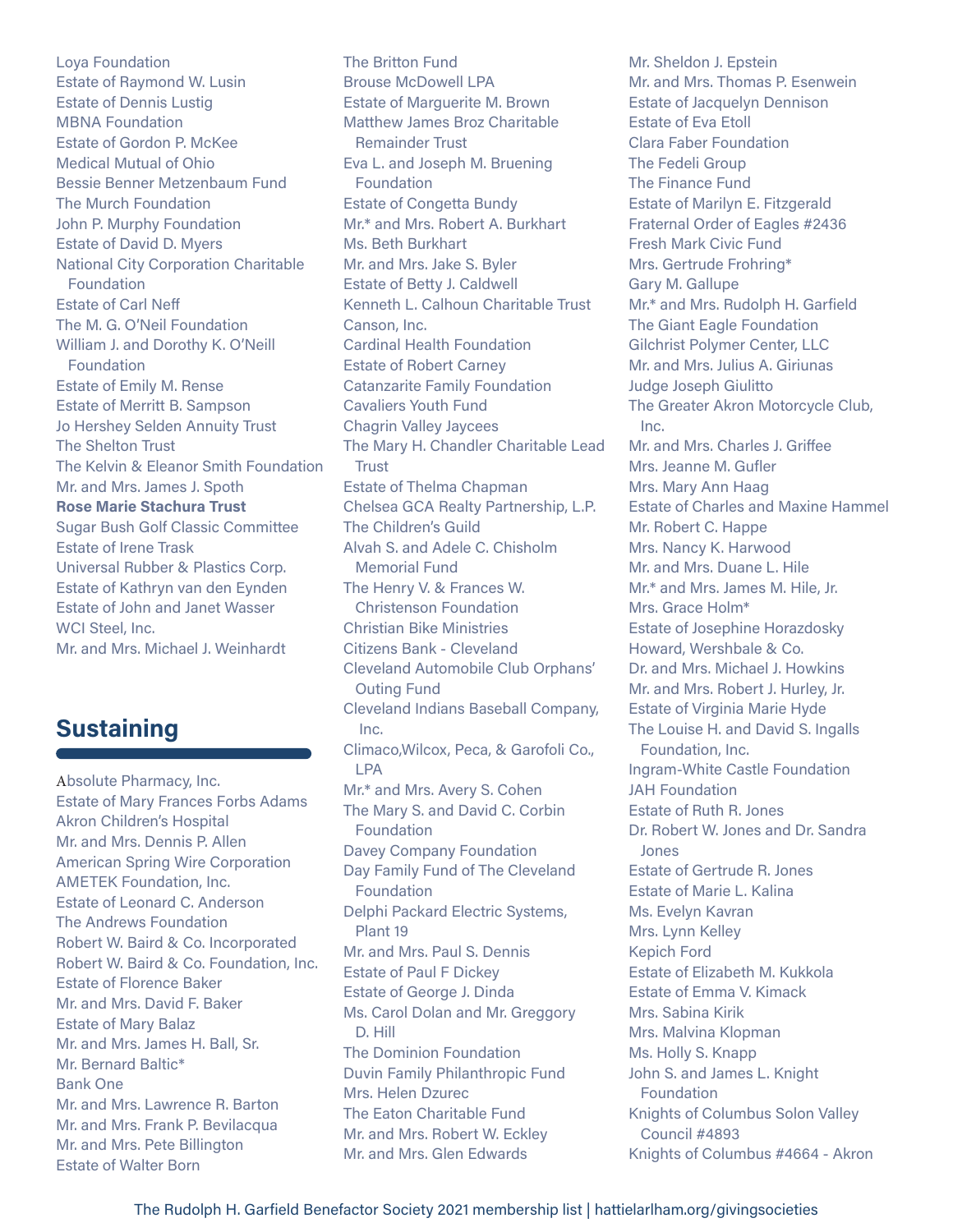Loya Foundation Estate of Raymond W. Lusin Estate of Dennis Lustig MBNA Foundation Estate of Gordon P. McKee Medical Mutual of Ohio Bessie Benner Metzenbaum Fund The Murch Foundation John P. Murphy Foundation Estate of David D. Myers National City Corporation Charitable Foundation Estate of Carl Neff The M. G. O'Neil Foundation William J. and Dorothy K. O'Neill Foundation Estate of Emily M. Rense Estate of Merritt B. Sampson Jo Hershey Selden Annuity Trust The Shelton Trust The Kelvin & Eleanor Smith Foundation Mr. and Mrs. James J. Spoth Rose Marie Stachura Trust Sugar Bush Golf Classic Committee Estate of Irene Trask Universal Rubber & Plastics Corp. Estate of Kathryn van den Eynden Estate of John and Janet Wasser WCI Steel, Inc. Mr. and Mrs. Michael J. Weinhardt

## **Sustaining**

Absolute Pharmacy, Inc. Estate of Mary Frances Forbs Adams Akron Children's Hospital Mr. and Mrs. Dennis P. Allen American Spring Wire Corporation AMETEK Foundation, Inc. Estate of Leonard C. Anderson The Andrews Foundation Robert W. Baird & Co. Incorporated Robert W. Baird & Co. Foundation, Inc. Estate of Florence Baker Mr. and Mrs. David F. Baker Estate of Mary Balaz Mr. and Mrs. James H. Ball, Sr. Mr. Bernard Baltic\* Bank One Mr. and Mrs. Lawrence R. Barton Mr. and Mrs. Frank P. Bevilacqua Mr. and Mrs. Pete Billington Estate of Walter Born

The Britton Fund Brouse McDowell LPA Estate of Marguerite M. Brown Matthew James Broz Charitable Remainder Trust Eva L. and Joseph M. Bruening **Foundation** Estate of Congetta Bundy Mr.\* and Mrs. Robert A. Burkhart Ms. Beth Burkhart Mr. and Mrs. Jake S. Byler Estate of Betty J. Caldwell Kenneth L. Calhoun Charitable Trust Canson, Inc. Cardinal Health Foundation Estate of Robert Carney Catanzarite Family Foundation Cavaliers Youth Fund Chagrin Valley Jaycees The Mary H. Chandler Charitable Lead Trust Estate of Thelma Chapman Chelsea GCA Realty Partnership, L.P. The Children's Guild Alvah S. and Adele C. Chisholm Memorial Fund The Henry V. & Frances W. Christenson Foundation Christian Bike Ministries Citizens Bank - Cleveland Cleveland Automobile Club Orphans' Outing Fund Cleveland Indians Baseball Company, Inc. Climaco,Wilcox, Peca, & Garofoli Co., LPA Mr.\* and Mrs. Avery S. Cohen The Mary S. and David C. Corbin Foundation Davey Company Foundation Day Family Fund of The Cleveland **Foundation** Delphi Packard Electric Systems, Plant 19 Mr. and Mrs. Paul S. Dennis Estate of Paul F Dickey Estate of George J. Dinda Ms. Carol Dolan and Mr. Greggory D. Hill The Dominion Foundation Duvin Family Philanthropic Fund Mrs. Helen Dzurec The Eaton Charitable Fund Mr. and Mrs. Robert W. Eckley Mr. and Mrs. Glen Edwards

Mr. Sheldon J. Epstein Mr. and Mrs. Thomas P. Esenwein Estate of Jacquelyn Dennison Estate of Eva Etoll Clara Faber Foundation The Fedeli Group The Finance Fund Estate of Marilyn E. Fitzgerald Fraternal Order of Eagles #2436 Fresh Mark Civic Fund Mrs. Gertrude Frohring\* Gary M. Gallupe Mr.\* and Mrs. Rudolph H. Garfield The Giant Eagle Foundation Gilchrist Polymer Center, LLC Mr. and Mrs. Julius A. Giriunas Judge Joseph Giulitto The Greater Akron Motorcycle Club, Inc. Mr. and Mrs. Charles J. Griffee Mrs. Jeanne M. Gufler Mrs. Mary Ann Haag Estate of Charles and Maxine Hammel Mr. Robert C. Happe Mrs. Nancy K. Harwood Mr. and Mrs. Duane L. Hile Mr.\* and Mrs. James M. Hile, Jr. Mrs. Grace Holm\* Estate of Josephine Horazdosky Howard, Wershbale & Co. Dr. and Mrs. Michael J. Howkins Mr. and Mrs. Robert J. Hurley, Jr. Estate of Virginia Marie Hyde The Louise H. and David S. Ingalls Foundation, Inc. Ingram-White Castle Foundation JAH Foundation Estate of Ruth R. Jones Dr. Robert W. Jones and Dr. Sandra Jones Estate of Gertrude R. Jones Estate of Marie L. Kalina Ms. Evelyn Kavran Mrs. Lynn Kelley Kepich Ford Estate of Elizabeth M. Kukkola Estate of Emma V. Kimack Mrs. Sabina Kirik Mrs. Malvina Klopman Ms. Holly S. Knapp John S. and James L. Knight Foundation Knights of Columbus Solon Valley Council #4893 Knights of Columbus #4664 - Akron